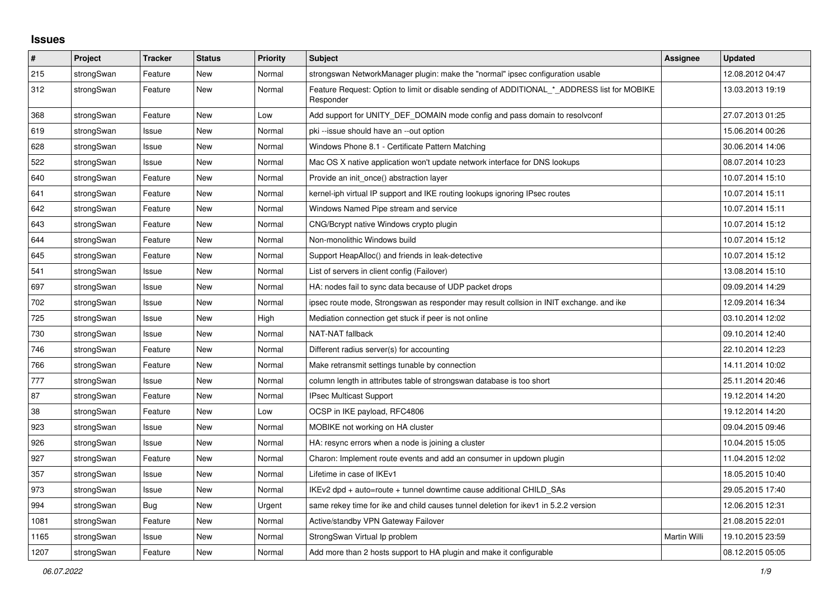## **Issues**

| #    | Project    | <b>Tracker</b> | <b>Status</b> | <b>Priority</b> | <b>Subject</b>                                                                                           | Assignee     | <b>Updated</b>   |
|------|------------|----------------|---------------|-----------------|----------------------------------------------------------------------------------------------------------|--------------|------------------|
| 215  | strongSwan | Feature        | <b>New</b>    | Normal          | strongswan NetworkManager plugin: make the "normal" ipsec configuration usable                           |              | 12.08.2012 04:47 |
| 312  | strongSwan | Feature        | <b>New</b>    | Normal          | Feature Request: Option to limit or disable sending of ADDITIONAL_*_ADDRESS list for MOBIKE<br>Responder |              | 13.03.2013 19:19 |
| 368  | strongSwan | Feature        | New           | Low             | Add support for UNITY_DEF_DOMAIN mode config and pass domain to resolvconf                               |              | 27.07.2013 01:25 |
| 619  | strongSwan | Issue          | <b>New</b>    | Normal          | pki --issue should have an --out option                                                                  |              | 15.06.2014 00:26 |
| 628  | strongSwan | Issue          | <b>New</b>    | Normal          | Windows Phone 8.1 - Certificate Pattern Matching                                                         |              | 30.06.2014 14:06 |
| 522  | strongSwan | Issue          | <b>New</b>    | Normal          | Mac OS X native application won't update network interface for DNS lookups                               |              | 08.07.2014 10:23 |
| 640  | strongSwan | Feature        | New           | Normal          | Provide an init_once() abstraction layer                                                                 |              | 10.07.2014 15:10 |
| 641  | strongSwan | Feature        | <b>New</b>    | Normal          | kernel-iph virtual IP support and IKE routing lookups ignoring IPsec routes                              |              | 10.07.2014 15:11 |
| 642  | strongSwan | Feature        | New           | Normal          | Windows Named Pipe stream and service                                                                    |              | 10.07.2014 15:11 |
| 643  | strongSwan | Feature        | <b>New</b>    | Normal          | CNG/Bcrypt native Windows crypto plugin                                                                  |              | 10.07.2014 15:12 |
| 644  | strongSwan | Feature        | <b>New</b>    | Normal          | Non-monolithic Windows build                                                                             |              | 10.07.2014 15:12 |
| 645  | strongSwan | Feature        | <b>New</b>    | Normal          | Support HeapAlloc() and friends in leak-detective                                                        |              | 10.07.2014 15:12 |
| 541  | strongSwan | Issue          | <b>New</b>    | Normal          | List of servers in client config (Failover)                                                              |              | 13.08.2014 15:10 |
| 697  | strongSwan | Issue          | <b>New</b>    | Normal          | HA: nodes fail to sync data because of UDP packet drops                                                  |              | 09.09.2014 14:29 |
| 702  | strongSwan | Issue          | <b>New</b>    | Normal          | ipsec route mode, Strongswan as responder may result collsion in INIT exchange. and ike                  |              | 12.09.2014 16:34 |
| 725  | strongSwan | Issue          | <b>New</b>    | High            | Mediation connection get stuck if peer is not online                                                     |              | 03.10.2014 12:02 |
| 730  | strongSwan | Issue          | <b>New</b>    | Normal          | NAT-NAT fallback                                                                                         |              | 09.10.2014 12:40 |
| 746  | strongSwan | Feature        | <b>New</b>    | Normal          | Different radius server(s) for accounting                                                                |              | 22.10.2014 12:23 |
| 766  | strongSwan | Feature        | New           | Normal          | Make retransmit settings tunable by connection                                                           |              | 14.11.2014 10:02 |
| 777  | strongSwan | Issue          | <b>New</b>    | Normal          | column length in attributes table of strongswan database is too short                                    |              | 25.11.2014 20:46 |
| 87   | strongSwan | Feature        | New           | Normal          | IPsec Multicast Support                                                                                  |              | 19.12.2014 14:20 |
| 38   | strongSwan | Feature        | New           | Low             | OCSP in IKE payload, RFC4806                                                                             |              | 19.12.2014 14:20 |
| 923  | strongSwan | Issue          | <b>New</b>    | Normal          | MOBIKE not working on HA cluster                                                                         |              | 09.04.2015 09:46 |
| 926  | strongSwan | Issue          | New           | Normal          | HA: resync errors when a node is joining a cluster                                                       |              | 10.04.2015 15:05 |
| 927  | strongSwan | Feature        | <b>New</b>    | Normal          | Charon: Implement route events and add an consumer in updown plugin                                      |              | 11.04.2015 12:02 |
| 357  | strongSwan | Issue          | <b>New</b>    | Normal          | Lifetime in case of IKEv1                                                                                |              | 18.05.2015 10:40 |
| 973  | strongSwan | Issue          | New           | Normal          | IKEv2 dpd + auto=route + tunnel downtime cause additional CHILD_SAs                                      |              | 29.05.2015 17:40 |
| 994  | strongSwan | Bug            | <b>New</b>    | Urgent          | same rekey time for ike and child causes tunnel deletion for ikev1 in 5.2.2 version                      |              | 12.06.2015 12:31 |
| 1081 | strongSwan | Feature        | New           | Normal          | Active/standby VPN Gateway Failover                                                                      |              | 21.08.2015 22:01 |
| 1165 | strongSwan | Issue          | <b>New</b>    | Normal          | StrongSwan Virtual Ip problem                                                                            | Martin Willi | 19.10.2015 23:59 |
| 1207 | strongSwan | Feature        | New           | Normal          | Add more than 2 hosts support to HA plugin and make it configurable                                      |              | 08.12.2015 05:05 |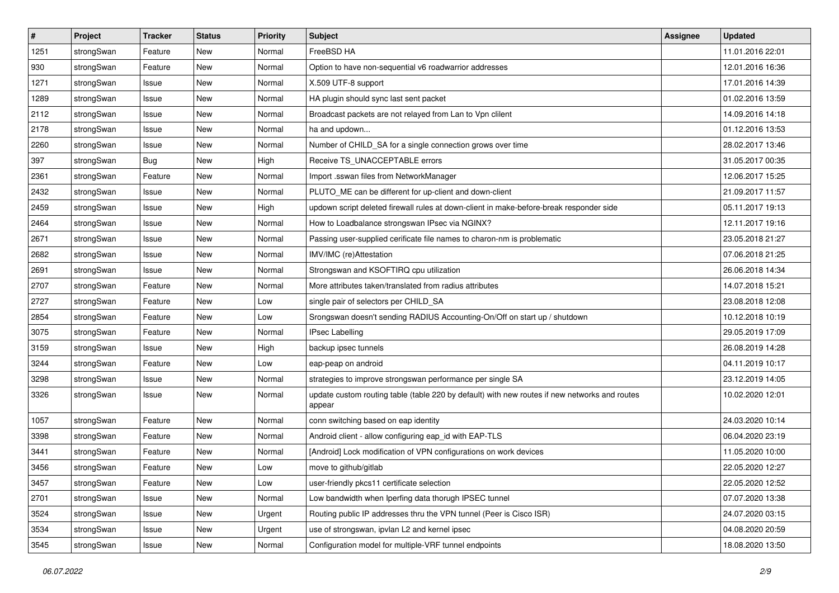| $\vert$ # | Project    | <b>Tracker</b> | <b>Status</b> | <b>Priority</b> | Subject                                                                                                 | <b>Assignee</b> | <b>Updated</b>   |
|-----------|------------|----------------|---------------|-----------------|---------------------------------------------------------------------------------------------------------|-----------------|------------------|
| 1251      | strongSwan | Feature        | New           | Normal          | FreeBSD HA                                                                                              |                 | 11.01.2016 22:01 |
| 930       | strongSwan | Feature        | New           | Normal          | Option to have non-sequential v6 roadwarrior addresses                                                  |                 | 12.01.2016 16:36 |
| 1271      | strongSwan | Issue          | New           | Normal          | X.509 UTF-8 support                                                                                     |                 | 17.01.2016 14:39 |
| 1289      | strongSwan | Issue          | New           | Normal          | HA plugin should sync last sent packet                                                                  |                 | 01.02.2016 13:59 |
| 2112      | strongSwan | Issue          | <b>New</b>    | Normal          | Broadcast packets are not relayed from Lan to Vpn clilent                                               |                 | 14.09.2016 14:18 |
| 2178      | strongSwan | Issue          | <b>New</b>    | Normal          | ha and updown                                                                                           |                 | 01.12.2016 13:53 |
| 2260      | strongSwan | Issue          | New           | Normal          | Number of CHILD_SA for a single connection grows over time                                              |                 | 28.02.2017 13:46 |
| 397       | strongSwan | Bug            | New           | High            | Receive TS_UNACCEPTABLE errors                                                                          |                 | 31.05.2017 00:35 |
| 2361      | strongSwan | Feature        | New           | Normal          | Import .sswan files from NetworkManager                                                                 |                 | 12.06.2017 15:25 |
| 2432      | strongSwan | Issue          | New           | Normal          | PLUTO_ME can be different for up-client and down-client                                                 |                 | 21.09.2017 11:57 |
| 2459      | strongSwan | Issue          | New           | High            | updown script deleted firewall rules at down-client in make-before-break responder side                 |                 | 05.11.2017 19:13 |
| 2464      | strongSwan | Issue          | New           | Normal          | How to Loadbalance strongswan IPsec via NGINX?                                                          |                 | 12.11.2017 19:16 |
| 2671      | strongSwan | Issue          | New           | Normal          | Passing user-supplied cerificate file names to charon-nm is problematic                                 |                 | 23.05.2018 21:27 |
| 2682      | strongSwan | Issue          | <b>New</b>    | Normal          | IMV/IMC (re)Attestation                                                                                 |                 | 07.06.2018 21:25 |
| 2691      | strongSwan | Issue          | <b>New</b>    | Normal          | Strongswan and KSOFTIRQ cpu utilization                                                                 |                 | 26.06.2018 14:34 |
| 2707      | strongSwan | Feature        | New           | Normal          | More attributes taken/translated from radius attributes                                                 |                 | 14.07.2018 15:21 |
| 2727      | strongSwan | Feature        | New           | Low             | single pair of selectors per CHILD_SA                                                                   |                 | 23.08.2018 12:08 |
| 2854      | strongSwan | Feature        | New           | Low             | Srongswan doesn't sending RADIUS Accounting-On/Off on start up / shutdown                               |                 | 10.12.2018 10:19 |
| 3075      | strongSwan | Feature        | New           | Normal          | <b>IPsec Labelling</b>                                                                                  |                 | 29.05.2019 17:09 |
| 3159      | strongSwan | Issue          | New           | High            | backup ipsec tunnels                                                                                    |                 | 26.08.2019 14:28 |
| 3244      | strongSwan | Feature        | New           | Low             | eap-peap on android                                                                                     |                 | 04.11.2019 10:17 |
| 3298      | strongSwan | Issue          | New           | Normal          | strategies to improve strongswan performance per single SA                                              |                 | 23.12.2019 14:05 |
| 3326      | strongSwan | Issue          | New           | Normal          | update custom routing table (table 220 by default) with new routes if new networks and routes<br>appear |                 | 10.02.2020 12:01 |
| 1057      | strongSwan | Feature        | New           | Normal          | conn switching based on eap identity                                                                    |                 | 24.03.2020 10:14 |
| 3398      | strongSwan | Feature        | <b>New</b>    | Normal          | Android client - allow configuring eap id with EAP-TLS                                                  |                 | 06.04.2020 23:19 |
| 3441      | strongSwan | Feature        | New           | Normal          | [Android] Lock modification of VPN configurations on work devices                                       |                 | 11.05.2020 10:00 |
| 3456      | strongSwan | Feature        | New           | Low             | move to github/gitlab                                                                                   |                 | 22.05.2020 12:27 |
| 3457      | strongSwan | Feature        | New           | Low             | user-friendly pkcs11 certificate selection                                                              |                 | 22.05.2020 12:52 |
| 2701      | strongSwan | Issue          | New           | Normal          | Low bandwidth when Iperfing data thorugh IPSEC tunnel                                                   |                 | 07.07.2020 13:38 |
| 3524      | strongSwan | Issue          | New           | Urgent          | Routing public IP addresses thru the VPN tunnel (Peer is Cisco ISR)                                     |                 | 24.07.2020 03:15 |
| 3534      | strongSwan | Issue          | New           | Urgent          | use of strongswan, ipvlan L2 and kernel ipsec                                                           |                 | 04.08.2020 20:59 |
| 3545      | strongSwan | Issue          | New           | Normal          | Configuration model for multiple-VRF tunnel endpoints                                                   |                 | 18.08.2020 13:50 |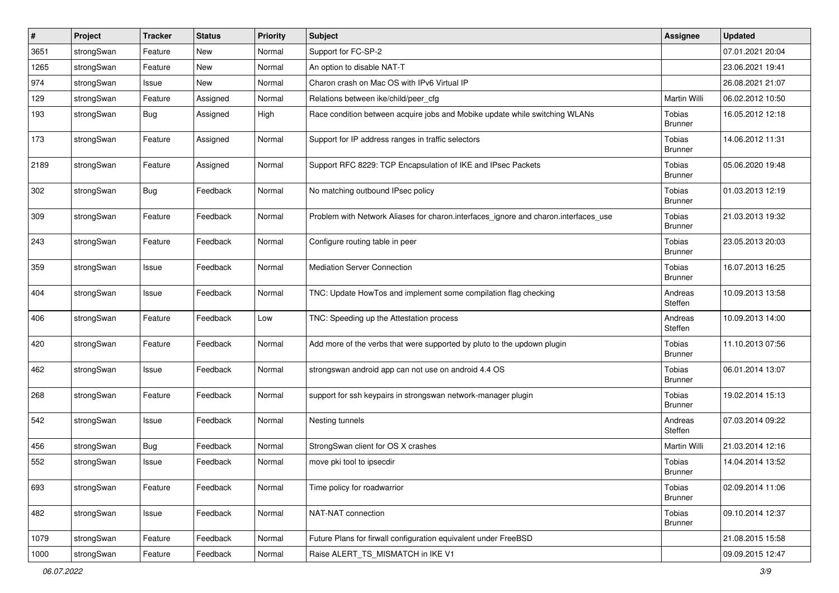| #    | Project    | <b>Tracker</b> | <b>Status</b> | <b>Priority</b> | <b>Subject</b>                                                                      | <b>Assignee</b>                 | <b>Updated</b>   |
|------|------------|----------------|---------------|-----------------|-------------------------------------------------------------------------------------|---------------------------------|------------------|
| 3651 | strongSwan | Feature        | New           | Normal          | Support for FC-SP-2                                                                 |                                 | 07.01.2021 20:04 |
| 1265 | strongSwan | Feature        | <b>New</b>    | Normal          | An option to disable NAT-T                                                          |                                 | 23.06.2021 19:41 |
| 974  | strongSwan | Issue          | New           | Normal          | Charon crash on Mac OS with IPv6 Virtual IP                                         |                                 | 26.08.2021 21:07 |
| 129  | strongSwan | Feature        | Assigned      | Normal          | Relations between ike/child/peer_cfg                                                | Martin Willi                    | 06.02.2012 10:50 |
| 193  | strongSwan | <b>Bug</b>     | Assigned      | High            | Race condition between acquire jobs and Mobike update while switching WLANs         | Tobias<br><b>Brunner</b>        | 16.05.2012 12:18 |
| 173  | strongSwan | Feature        | Assigned      | Normal          | Support for IP address ranges in traffic selectors                                  | Tobias<br><b>Brunner</b>        | 14.06.2012 11:31 |
| 2189 | strongSwan | Feature        | Assigned      | Normal          | Support RFC 8229: TCP Encapsulation of IKE and IPsec Packets                        | Tobias<br><b>Brunner</b>        | 05.06.2020 19:48 |
| 302  | strongSwan | Bug            | Feedback      | Normal          | No matching outbound IPsec policy                                                   | Tobias<br><b>Brunner</b>        | 01.03.2013 12:19 |
| 309  | strongSwan | Feature        | Feedback      | Normal          | Problem with Network Aliases for charon.interfaces_ignore and charon.interfaces_use | Tobias<br><b>Brunner</b>        | 21.03.2013 19:32 |
| 243  | strongSwan | Feature        | Feedback      | Normal          | Configure routing table in peer                                                     | Tobias<br><b>Brunner</b>        | 23.05.2013 20:03 |
| 359  | strongSwan | Issue          | Feedback      | Normal          | <b>Mediation Server Connection</b>                                                  | Tobias<br><b>Brunner</b>        | 16.07.2013 16:25 |
| 404  | strongSwan | Issue          | Feedback      | Normal          | TNC: Update HowTos and implement some compilation flag checking                     | Andreas<br>Steffen              | 10.09.2013 13:58 |
| 406  | strongSwan | Feature        | Feedback      | Low             | TNC: Speeding up the Attestation process                                            | Andreas<br>Steffen              | 10.09.2013 14:00 |
| 420  | strongSwan | Feature        | Feedback      | Normal          | Add more of the verbs that were supported by pluto to the updown plugin             | Tobias<br><b>Brunner</b>        | 11.10.2013 07:56 |
| 462  | strongSwan | Issue          | Feedback      | Normal          | strongswan android app can not use on android 4.4 OS                                | Tobias<br><b>Brunner</b>        | 06.01.2014 13:07 |
| 268  | strongSwan | Feature        | Feedback      | Normal          | support for ssh keypairs in strongswan network-manager plugin                       | Tobias<br><b>Brunner</b>        | 19.02.2014 15:13 |
| 542  | strongSwan | Issue          | Feedback      | Normal          | Nesting tunnels                                                                     | Andreas<br>Steffen              | 07.03.2014 09:22 |
| 456  | strongSwan | Bug            | Feedback      | Normal          | StrongSwan client for OS X crashes                                                  | Martin Willi                    | 21.03.2014 12:16 |
| 552  | strongSwan | Issue          | Feedback      | Normal          | move pki tool to ipsecdir                                                           | Tobias<br>Brunner               | 14.04.2014 13:52 |
| 693  | strongSwan | Feature        | Feedback      | Normal          | Time policy for roadwarrior                                                         | <b>Tobias</b><br><b>Brunner</b> | 02.09.2014 11:06 |
| 482  | strongSwan | Issue          | Feedback      | Normal          | NAT-NAT connection                                                                  | Tobias<br><b>Brunner</b>        | 09.10.2014 12:37 |
| 1079 | strongSwan | Feature        | Feedback      | Normal          | Future Plans for firwall configuration equivalent under FreeBSD                     |                                 | 21.08.2015 15:58 |
| 1000 | strongSwan | Feature        | Feedback      | Normal          | Raise ALERT_TS_MISMATCH in IKE V1                                                   |                                 | 09.09.2015 12:47 |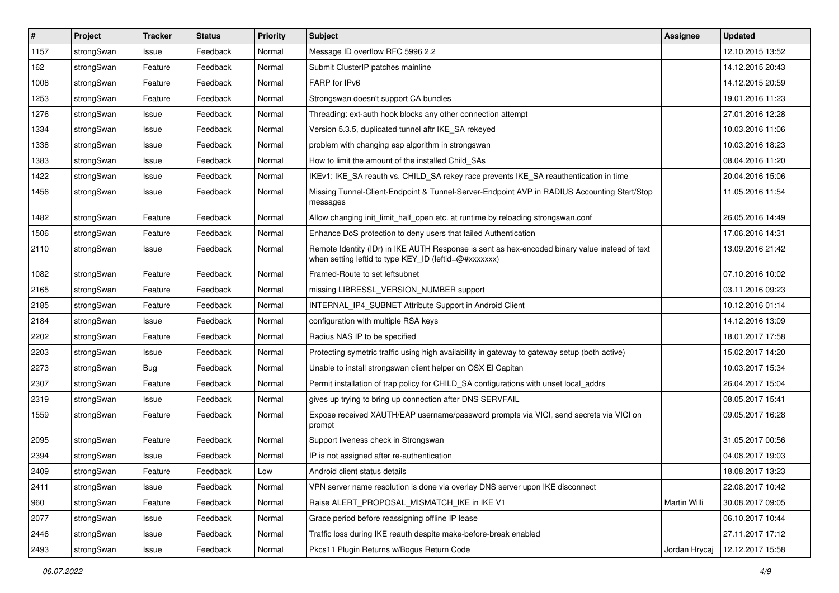| #    | Project    | <b>Tracker</b> | <b>Status</b> | <b>Priority</b> | <b>Subject</b>                                                                                                                                          | Assignee      | <b>Updated</b>   |
|------|------------|----------------|---------------|-----------------|---------------------------------------------------------------------------------------------------------------------------------------------------------|---------------|------------------|
| 1157 | strongSwan | Issue          | Feedback      | Normal          | Message ID overflow RFC 5996 2.2                                                                                                                        |               | 12.10.2015 13:52 |
| 162  | strongSwan | Feature        | Feedback      | Normal          | Submit ClusterIP patches mainline                                                                                                                       |               | 14.12.2015 20:43 |
| 1008 | strongSwan | Feature        | Feedback      | Normal          | FARP for IPv6                                                                                                                                           |               | 14.12.2015 20:59 |
| 1253 | strongSwan | Feature        | Feedback      | Normal          | Strongswan doesn't support CA bundles                                                                                                                   |               | 19.01.2016 11:23 |
| 1276 | strongSwan | Issue          | Feedback      | Normal          | Threading: ext-auth hook blocks any other connection attempt                                                                                            |               | 27.01.2016 12:28 |
| 1334 | strongSwan | Issue          | Feedback      | Normal          | Version 5.3.5, duplicated tunnel aftr IKE_SA rekeyed                                                                                                    |               | 10.03.2016 11:06 |
| 1338 | strongSwan | Issue          | Feedback      | Normal          | problem with changing esp algorithm in strongswan                                                                                                       |               | 10.03.2016 18:23 |
| 1383 | strongSwan | Issue          | Feedback      | Normal          | How to limit the amount of the installed Child_SAs                                                                                                      |               | 08.04.2016 11:20 |
| 1422 | strongSwan | Issue          | Feedback      | Normal          | IKEv1: IKE_SA reauth vs. CHILD_SA rekey race prevents IKE_SA reauthentication in time                                                                   |               | 20.04.2016 15:06 |
| 1456 | strongSwan | Issue          | Feedback      | Normal          | Missing Tunnel-Client-Endpoint & Tunnel-Server-Endpoint AVP in RADIUS Accounting Start/Stop<br>messages                                                 |               | 11.05.2016 11:54 |
| 1482 | strongSwan | Feature        | Feedback      | Normal          | Allow changing init_limit_half_open etc. at runtime by reloading strongswan.conf                                                                        |               | 26.05.2016 14:49 |
| 1506 | strongSwan | Feature        | Feedback      | Normal          | Enhance DoS protection to deny users that failed Authentication                                                                                         |               | 17.06.2016 14:31 |
| 2110 | strongSwan | Issue          | Feedback      | Normal          | Remote Identity (IDr) in IKE AUTH Response is sent as hex-encoded binary value instead of text<br>when setting leftid to type KEY_ID (leftid=@#xxxxxxx) |               | 13.09.2016 21:42 |
| 1082 | strongSwan | Feature        | Feedback      | Normal          | Framed-Route to set leftsubnet                                                                                                                          |               | 07.10.2016 10:02 |
| 2165 | strongSwan | Feature        | Feedback      | Normal          | missing LIBRESSL_VERSION_NUMBER support                                                                                                                 |               | 03.11.2016 09:23 |
| 2185 | strongSwan | Feature        | Feedback      | Normal          | INTERNAL_IP4_SUBNET Attribute Support in Android Client                                                                                                 |               | 10.12.2016 01:14 |
| 2184 | strongSwan | Issue          | Feedback      | Normal          | configuration with multiple RSA keys                                                                                                                    |               | 14.12.2016 13:09 |
| 2202 | strongSwan | Feature        | Feedback      | Normal          | Radius NAS IP to be specified                                                                                                                           |               | 18.01.2017 17:58 |
| 2203 | strongSwan | Issue          | Feedback      | Normal          | Protecting symetric traffic using high availability in gateway to gateway setup (both active)                                                           |               | 15.02.2017 14:20 |
| 2273 | strongSwan | Bug            | Feedback      | Normal          | Unable to install strongswan client helper on OSX El Capitan                                                                                            |               | 10.03.2017 15:34 |
| 2307 | strongSwan | Feature        | Feedback      | Normal          | Permit installation of trap policy for CHILD_SA configurations with unset local_addrs                                                                   |               | 26.04.2017 15:04 |
| 2319 | strongSwan | Issue          | Feedback      | Normal          | gives up trying to bring up connection after DNS SERVFAIL                                                                                               |               | 08.05.2017 15:41 |
| 1559 | strongSwan | Feature        | Feedback      | Normal          | Expose received XAUTH/EAP username/password prompts via VICI, send secrets via VICI on<br>prompt                                                        |               | 09.05.2017 16:28 |
| 2095 | strongSwan | Feature        | Feedback      | Normal          | Support liveness check in Strongswan                                                                                                                    |               | 31.05.2017 00:56 |
| 2394 | strongSwan | Issue          | Feedback      | Normal          | IP is not assigned after re-authentication                                                                                                              |               | 04.08.2017 19:03 |
| 2409 | strongSwan | Feature        | Feedback      | Low             | Android client status details                                                                                                                           |               | 18.08.2017 13:23 |
| 2411 | strongSwan | Issue          | Feedback      | Normal          | VPN server name resolution is done via overlay DNS server upon IKE disconnect                                                                           |               | 22.08.2017 10:42 |
| 960  | strongSwan | Feature        | Feedback      | Normal          | Raise ALERT_PROPOSAL_MISMATCH_IKE in IKE V1                                                                                                             | Martin Willi  | 30.08.2017 09:05 |
| 2077 | strongSwan | Issue          | Feedback      | Normal          | Grace period before reassigning offline IP lease                                                                                                        |               | 06.10.2017 10:44 |
| 2446 | strongSwan | Issue          | Feedback      | Normal          | Traffic loss during IKE reauth despite make-before-break enabled                                                                                        |               | 27.11.2017 17:12 |
| 2493 | strongSwan | Issue          | Feedback      | Normal          | Pkcs11 Plugin Returns w/Bogus Return Code                                                                                                               | Jordan Hrycaj | 12.12.2017 15:58 |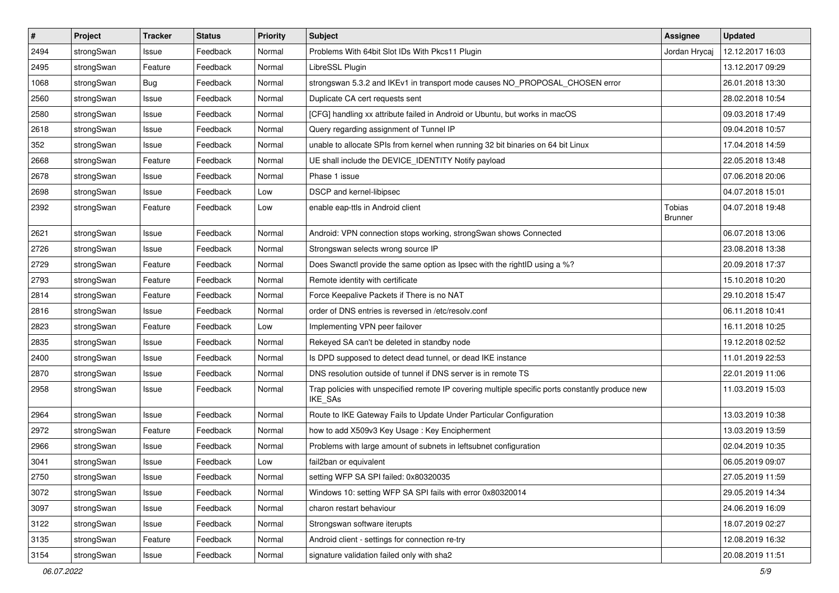| $\pmb{\#}$ | Project    | <b>Tracker</b> | <b>Status</b> | <b>Priority</b> | <b>Subject</b>                                                                                              | <b>Assignee</b>          | <b>Updated</b>   |
|------------|------------|----------------|---------------|-----------------|-------------------------------------------------------------------------------------------------------------|--------------------------|------------------|
| 2494       | strongSwan | Issue          | Feedback      | Normal          | Problems With 64bit Slot IDs With Pkcs11 Plugin                                                             | Jordan Hrycaj            | 12.12.2017 16:03 |
| 2495       | strongSwan | Feature        | Feedback      | Normal          | LibreSSL Plugin                                                                                             |                          | 13.12.2017 09:29 |
| 1068       | strongSwan | Bug            | Feedback      | Normal          | strongswan 5.3.2 and IKEv1 in transport mode causes NO_PROPOSAL_CHOSEN error                                |                          | 26.01.2018 13:30 |
| 2560       | strongSwan | Issue          | Feedback      | Normal          | Duplicate CA cert requests sent                                                                             |                          | 28.02.2018 10:54 |
| 2580       | strongSwan | Issue          | Feedback      | Normal          | [CFG] handling xx attribute failed in Android or Ubuntu, but works in macOS                                 |                          | 09.03.2018 17:49 |
| 2618       | strongSwan | Issue          | Feedback      | Normal          | Query regarding assignment of Tunnel IP                                                                     |                          | 09.04.2018 10:57 |
| 352        | strongSwan | Issue          | Feedback      | Normal          | unable to allocate SPIs from kernel when running 32 bit binaries on 64 bit Linux                            |                          | 17.04.2018 14:59 |
| 2668       | strongSwan | Feature        | Feedback      | Normal          | UE shall include the DEVICE_IDENTITY Notify payload                                                         |                          | 22.05.2018 13:48 |
| 2678       | strongSwan | Issue          | Feedback      | Normal          | Phase 1 issue                                                                                               |                          | 07.06.2018 20:06 |
| 2698       | strongSwan | Issue          | Feedback      | Low             | DSCP and kernel-libipsec                                                                                    |                          | 04.07.2018 15:01 |
| 2392       | strongSwan | Feature        | Feedback      | Low             | enable eap-ttls in Android client                                                                           | Tobias<br><b>Brunner</b> | 04.07.2018 19:48 |
| 2621       | strongSwan | lssue          | Feedback      | Normal          | Android: VPN connection stops working, strongSwan shows Connected                                           |                          | 06.07.2018 13:06 |
| 2726       | strongSwan | Issue          | Feedback      | Normal          | Strongswan selects wrong source IP                                                                          |                          | 23.08.2018 13:38 |
| 2729       | strongSwan | Feature        | Feedback      | Normal          | Does Swanctl provide the same option as Ipsec with the rightID using a %?                                   |                          | 20.09.2018 17:37 |
| 2793       | strongSwan | Feature        | Feedback      | Normal          | Remote identity with certificate                                                                            |                          | 15.10.2018 10:20 |
| 2814       | strongSwan | Feature        | Feedback      | Normal          | Force Keepalive Packets if There is no NAT                                                                  |                          | 29.10.2018 15:47 |
| 2816       | strongSwan | Issue          | Feedback      | Normal          | order of DNS entries is reversed in /etc/resolv.conf                                                        |                          | 06.11.2018 10:41 |
| 2823       | strongSwan | Feature        | Feedback      | Low             | Implementing VPN peer failover                                                                              |                          | 16.11.2018 10:25 |
| 2835       | strongSwan | Issue          | Feedback      | Normal          | Rekeyed SA can't be deleted in standby node                                                                 |                          | 19.12.2018 02:52 |
| 2400       | strongSwan | Issue          | Feedback      | Normal          | Is DPD supposed to detect dead tunnel, or dead IKE instance                                                 |                          | 11.01.2019 22:53 |
| 2870       | strongSwan | Issue          | Feedback      | Normal          | DNS resolution outside of tunnel if DNS server is in remote TS                                              |                          | 22.01.2019 11:06 |
| 2958       | strongSwan | Issue          | Feedback      | Normal          | Trap policies with unspecified remote IP covering multiple specific ports constantly produce new<br>IKE_SAs |                          | 11.03.2019 15:03 |
| 2964       | strongSwan | Issue          | Feedback      | Normal          | Route to IKE Gateway Fails to Update Under Particular Configuration                                         |                          | 13.03.2019 10:38 |
| 2972       | strongSwan | Feature        | Feedback      | Normal          | how to add X509v3 Key Usage: Key Encipherment                                                               |                          | 13.03.2019 13:59 |
| 2966       | strongSwan | Issue          | Feedback      | Normal          | Problems with large amount of subnets in leftsubnet configuration                                           |                          | 02.04.2019 10:35 |
| 3041       | strongSwan | Issue          | Feedback      | Low             | fail2ban or equivalent                                                                                      |                          | 06.05.2019 09:07 |
| 2750       | strongSwan | Issue          | Feedback      | Normal          | setting WFP SA SPI failed: 0x80320035                                                                       |                          | 27.05.2019 11:59 |
| 3072       | strongSwan | lssue          | Feedback      | Normal          | Windows 10: setting WFP SA SPI fails with error 0x80320014                                                  |                          | 29.05.2019 14:34 |
| 3097       | strongSwan | Issue          | Feedback      | Normal          | charon restart behaviour                                                                                    |                          | 24.06.2019 16:09 |
| 3122       | strongSwan | Issue          | Feedback      | Normal          | Strongswan software iterupts                                                                                |                          | 18.07.2019 02:27 |
| 3135       | strongSwan | Feature        | Feedback      | Normal          | Android client - settings for connection re-try                                                             |                          | 12.08.2019 16:32 |
| 3154       | strongSwan | Issue          | Feedback      | Normal          | signature validation failed only with sha2                                                                  |                          | 20.08.2019 11:51 |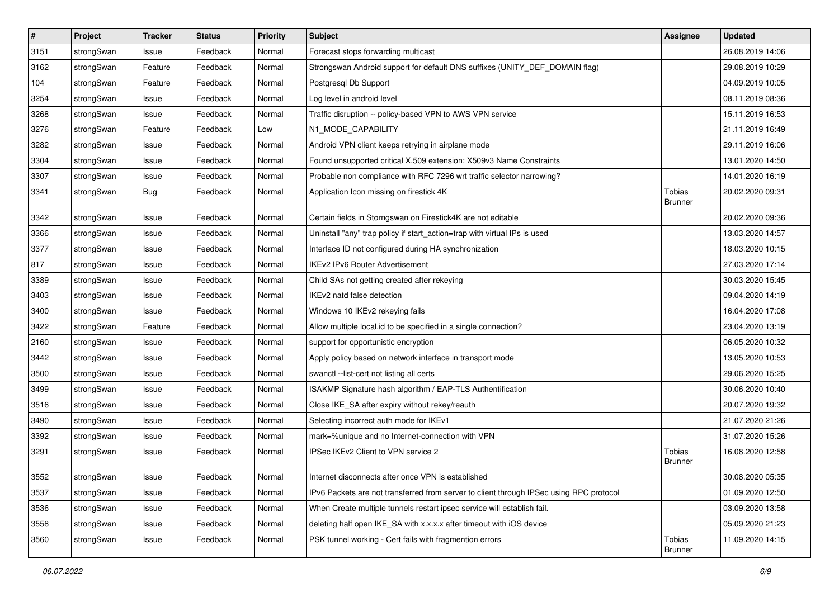| $\vert$ # | Project    | <b>Tracker</b> | <b>Status</b> | <b>Priority</b> | <b>Subject</b>                                                                          | <b>Assignee</b>                 | <b>Updated</b>   |
|-----------|------------|----------------|---------------|-----------------|-----------------------------------------------------------------------------------------|---------------------------------|------------------|
| 3151      | strongSwan | Issue          | Feedback      | Normal          | Forecast stops forwarding multicast                                                     |                                 | 26.08.2019 14:06 |
| 3162      | strongSwan | Feature        | Feedback      | Normal          | Strongswan Android support for default DNS suffixes (UNITY_DEF_DOMAIN flag)             |                                 | 29.08.2019 10:29 |
| 104       | strongSwan | Feature        | Feedback      | Normal          | Postgresql Db Support                                                                   |                                 | 04.09.2019 10:05 |
| 3254      | strongSwan | Issue          | Feedback      | Normal          | Log level in android level                                                              |                                 | 08.11.2019 08:36 |
| 3268      | strongSwan | Issue          | Feedback      | Normal          | Traffic disruption -- policy-based VPN to AWS VPN service                               |                                 | 15.11.2019 16:53 |
| 3276      | strongSwan | Feature        | Feedback      | Low             | N1 MODE CAPABILITY                                                                      |                                 | 21.11.2019 16:49 |
| 3282      | strongSwan | Issue          | Feedback      | Normal          | Android VPN client keeps retrying in airplane mode                                      |                                 | 29.11.2019 16:06 |
| 3304      | strongSwan | Issue          | Feedback      | Normal          | Found unsupported critical X.509 extension: X509v3 Name Constraints                     |                                 | 13.01.2020 14:50 |
| 3307      | strongSwan | Issue          | Feedback      | Normal          | Probable non compliance with RFC 7296 wrt traffic selector narrowing?                   |                                 | 14.01.2020 16:19 |
| 3341      | strongSwan | Bug            | Feedback      | Normal          | Application Icon missing on firestick 4K                                                | <b>Tobias</b><br><b>Brunner</b> | 20.02.2020 09:31 |
| 3342      | strongSwan | Issue          | Feedback      | Normal          | Certain fields in Storngswan on Firestick4K are not editable                            |                                 | 20.02.2020 09:36 |
| 3366      | strongSwan | Issue          | Feedback      | Normal          | Uninstall "any" trap policy if start_action=trap with virtual IPs is used               |                                 | 13.03.2020 14:57 |
| 3377      | strongSwan | Issue          | Feedback      | Normal          | Interface ID not configured during HA synchronization                                   |                                 | 18.03.2020 10:15 |
| 817       | strongSwan | Issue          | Feedback      | Normal          | <b>IKEv2 IPv6 Router Advertisement</b>                                                  |                                 | 27.03.2020 17:14 |
| 3389      | strongSwan | Issue          | Feedback      | Normal          | Child SAs not getting created after rekeying                                            |                                 | 30.03.2020 15:45 |
| 3403      | strongSwan | Issue          | Feedback      | Normal          | IKEv2 natd false detection                                                              |                                 | 09.04.2020 14:19 |
| 3400      | strongSwan | Issue          | Feedback      | Normal          | Windows 10 IKEv2 rekeying fails                                                         |                                 | 16.04.2020 17:08 |
| 3422      | strongSwan | Feature        | Feedback      | Normal          | Allow multiple local id to be specified in a single connection?                         |                                 | 23.04.2020 13:19 |
| 2160      | strongSwan | Issue          | Feedback      | Normal          | support for opportunistic encryption                                                    |                                 | 06.05.2020 10:32 |
| 3442      | strongSwan | Issue          | Feedback      | Normal          | Apply policy based on network interface in transport mode                               |                                 | 13.05.2020 10:53 |
| 3500      | strongSwan | Issue          | Feedback      | Normal          | swanctl --list-cert not listing all certs                                               |                                 | 29.06.2020 15:25 |
| 3499      | strongSwan | Issue          | Feedback      | Normal          | ISAKMP Signature hash algorithm / EAP-TLS Authentification                              |                                 | 30.06.2020 10:40 |
| 3516      | strongSwan | Issue          | Feedback      | Normal          | Close IKE_SA after expiry without rekey/reauth                                          |                                 | 20.07.2020 19:32 |
| 3490      | strongSwan | Issue          | Feedback      | Normal          | Selecting incorrect auth mode for IKEv1                                                 |                                 | 21.07.2020 21:26 |
| 3392      | strongSwan | Issue          | Feedback      | Normal          | mark=%unique and no Internet-connection with VPN                                        |                                 | 31.07.2020 15:26 |
| 3291      | strongSwan | Issue          | Feedback      | Normal          | IPSec IKEv2 Client to VPN service 2                                                     | <b>Tobias</b><br>Brunner        | 16.08.2020 12:58 |
| 3552      | strongSwan | Issue          | Feedback      | Normal          | Internet disconnects after once VPN is established                                      |                                 | 30.08.2020 05:35 |
| 3537      | strongSwan | Issue          | Feedback      | Normal          | IPv6 Packets are not transferred from server to client through IPSec using RPC protocol |                                 | 01.09.2020 12:50 |
| 3536      | strongSwan | Issue          | Feedback      | Normal          | When Create multiple tunnels restart ipsec service will establish fail.                 |                                 | 03.09.2020 13:58 |
| 3558      | strongSwan | Issue          | Feedback      | Normal          | deleting half open IKE_SA with x.x.x.x after timeout with iOS device                    |                                 | 05.09.2020 21:23 |
| 3560      | strongSwan | Issue          | Feedback      | Normal          | PSK tunnel working - Cert fails with fragmention errors                                 | Tobias<br>Brunner               | 11.09.2020 14:15 |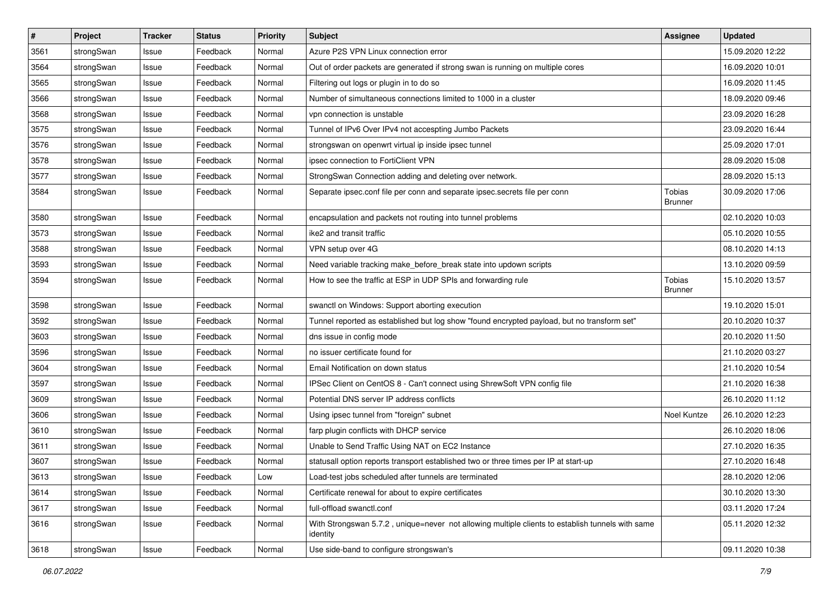| $\pmb{\#}$ | Project    | <b>Tracker</b> | <b>Status</b> | <b>Priority</b> | <b>Subject</b>                                                                                               | <b>Assignee</b>                 | <b>Updated</b>   |
|------------|------------|----------------|---------------|-----------------|--------------------------------------------------------------------------------------------------------------|---------------------------------|------------------|
| 3561       | strongSwan | Issue          | Feedback      | Normal          | Azure P2S VPN Linux connection error                                                                         |                                 | 15.09.2020 12:22 |
| 3564       | strongSwan | Issue          | Feedback      | Normal          | Out of order packets are generated if strong swan is running on multiple cores                               |                                 | 16.09.2020 10:01 |
| 3565       | strongSwan | Issue          | Feedback      | Normal          | Filtering out logs or plugin in to do so                                                                     |                                 | 16.09.2020 11:45 |
| 3566       | strongSwan | Issue          | Feedback      | Normal          | Number of simultaneous connections limited to 1000 in a cluster                                              |                                 | 18.09.2020 09:46 |
| 3568       | strongSwan | Issue          | Feedback      | Normal          | vpn connection is unstable                                                                                   |                                 | 23.09.2020 16:28 |
| 3575       | strongSwan | Issue          | Feedback      | Normal          | Tunnel of IPv6 Over IPv4 not accespting Jumbo Packets                                                        |                                 | 23.09.2020 16:44 |
| 3576       | strongSwan | Issue          | Feedback      | Normal          | strongswan on openwrt virtual ip inside ipsec tunnel                                                         |                                 | 25.09.2020 17:01 |
| 3578       | strongSwan | Issue          | Feedback      | Normal          | ipsec connection to FortiClient VPN                                                                          |                                 | 28.09.2020 15:08 |
| 3577       | strongSwan | Issue          | Feedback      | Normal          | StrongSwan Connection adding and deleting over network.                                                      |                                 | 28.09.2020 15:13 |
| 3584       | strongSwan | Issue          | Feedback      | Normal          | Separate ipsec.conf file per conn and separate ipsec.secrets file per conn                                   | Tobias<br><b>Brunner</b>        | 30.09.2020 17:06 |
| 3580       | strongSwan | Issue          | Feedback      | Normal          | encapsulation and packets not routing into tunnel problems                                                   |                                 | 02.10.2020 10:03 |
| 3573       | strongSwan | Issue          | Feedback      | Normal          | ike2 and transit traffic                                                                                     |                                 | 05.10.2020 10:55 |
| 3588       | strongSwan | Issue          | Feedback      | Normal          | VPN setup over 4G                                                                                            |                                 | 08.10.2020 14:13 |
| 3593       | strongSwan | Issue          | Feedback      | Normal          | Need variable tracking make_before_break state into updown scripts                                           |                                 | 13.10.2020 09:59 |
| 3594       | strongSwan | Issue          | Feedback      | Normal          | How to see the traffic at ESP in UDP SPIs and forwarding rule                                                | <b>Tobias</b><br><b>Brunner</b> | 15.10.2020 13:57 |
| 3598       | strongSwan | Issue          | Feedback      | Normal          | swanctl on Windows: Support aborting execution                                                               |                                 | 19.10.2020 15:01 |
| 3592       | strongSwan | Issue          | Feedback      | Normal          | Tunnel reported as established but log show "found encrypted payload, but no transform set"                  |                                 | 20.10.2020 10:37 |
| 3603       | strongSwan | Issue          | Feedback      | Normal          | dns issue in config mode                                                                                     |                                 | 20.10.2020 11:50 |
| 3596       | strongSwan | Issue          | Feedback      | Normal          | no issuer certificate found for                                                                              |                                 | 21.10.2020 03:27 |
| 3604       | strongSwan | Issue          | Feedback      | Normal          | Email Notification on down status                                                                            |                                 | 21.10.2020 10:54 |
| 3597       | strongSwan | Issue          | Feedback      | Normal          | IPSec Client on CentOS 8 - Can't connect using ShrewSoft VPN config file                                     |                                 | 21.10.2020 16:38 |
| 3609       | strongSwan | Issue          | Feedback      | Normal          | Potential DNS server IP address conflicts                                                                    |                                 | 26.10.2020 11:12 |
| 3606       | strongSwan | Issue          | Feedback      | Normal          | Using ipsec tunnel from "foreign" subnet                                                                     | Noel Kuntze                     | 26.10.2020 12:23 |
| 3610       | strongSwan | Issue          | Feedback      | Normal          | farp plugin conflicts with DHCP service                                                                      |                                 | 26.10.2020 18:06 |
| 3611       | strongSwan | Issue          | Feedback      | Normal          | Unable to Send Traffic Using NAT on EC2 Instance                                                             |                                 | 27.10.2020 16:35 |
| 3607       | strongSwan | Issue          | Feedback      | Normal          | statusall option reports transport established two or three times per IP at start-up                         |                                 | 27.10.2020 16:48 |
| 3613       | strongSwan | Issue          | Feedback      | Low             | Load-test jobs scheduled after tunnels are terminated                                                        |                                 | 28.10.2020 12:06 |
| 3614       | strongSwan | Issue          | Feedback      | Normal          | Certificate renewal for about to expire certificates                                                         |                                 | 30.10.2020 13:30 |
| 3617       | strongSwan | Issue          | Feedback      | Normal          | full-offload swanctl.conf                                                                                    |                                 | 03.11.2020 17:24 |
| 3616       | strongSwan | Issue          | Feedback      | Normal          | With Strongswan 5.7.2, unique=never not allowing multiple clients to establish tunnels with same<br>identity |                                 | 05.11.2020 12:32 |
| 3618       | strongSwan | Issue          | Feedback      | Normal          | Use side-band to configure strongswan's                                                                      |                                 | 09.11.2020 10:38 |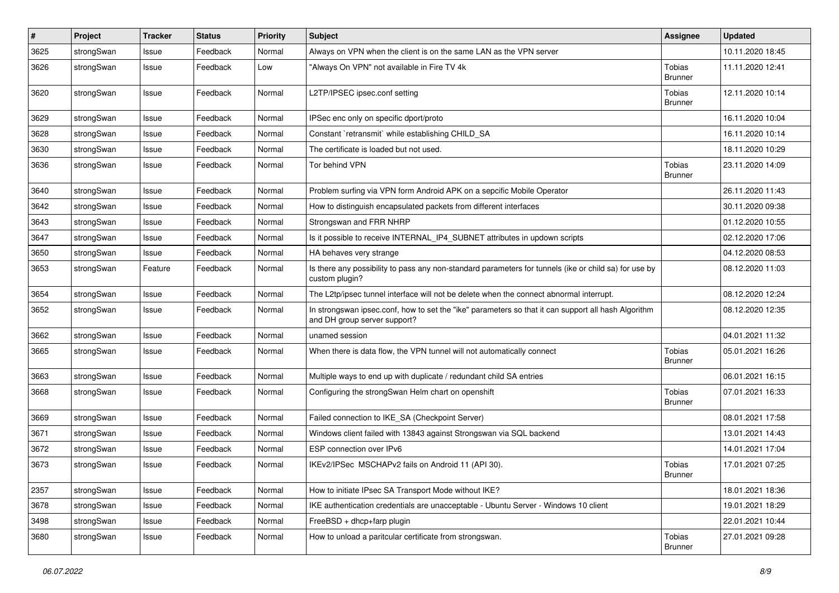| $\pmb{\#}$ | Project    | <b>Tracker</b> | <b>Status</b> | <b>Priority</b> | <b>Subject</b>                                                                                                                      | <b>Assignee</b>                 | <b>Updated</b>   |
|------------|------------|----------------|---------------|-----------------|-------------------------------------------------------------------------------------------------------------------------------------|---------------------------------|------------------|
| 3625       | strongSwan | Issue          | Feedback      | Normal          | Always on VPN when the client is on the same LAN as the VPN server                                                                  |                                 | 10.11.2020 18:45 |
| 3626       | strongSwan | Issue          | Feedback      | Low             | "Always On VPN" not available in Fire TV 4k                                                                                         | Tobias<br><b>Brunner</b>        | 11.11.2020 12:41 |
| 3620       | strongSwan | Issue          | Feedback      | Normal          | L2TP/IPSEC ipsec.conf setting                                                                                                       | Tobias<br><b>Brunner</b>        | 12.11.2020 10:14 |
| 3629       | strongSwan | Issue          | Feedback      | Normal          | IPSec enc only on specific dport/proto                                                                                              |                                 | 16.11.2020 10:04 |
| 3628       | strongSwan | Issue          | Feedback      | Normal          | Constant `retransmit` while establishing CHILD_SA                                                                                   |                                 | 16.11.2020 10:14 |
| 3630       | strongSwan | Issue          | Feedback      | Normal          | The certificate is loaded but not used.                                                                                             |                                 | 18.11.2020 10:29 |
| 3636       | strongSwan | Issue          | Feedback      | Normal          | Tor behind VPN                                                                                                                      | Tobias<br>Brunner               | 23.11.2020 14:09 |
| 3640       | strongSwan | Issue          | Feedback      | Normal          | Problem surfing via VPN form Android APK on a sepcific Mobile Operator                                                              |                                 | 26.11.2020 11:43 |
| 3642       | strongSwan | Issue          | Feedback      | Normal          | How to distinguish encapsulated packets from different interfaces                                                                   |                                 | 30.11.2020 09:38 |
| 3643       | strongSwan | Issue          | Feedback      | Normal          | Strongswan and FRR NHRP                                                                                                             |                                 | 01.12.2020 10:55 |
| 3647       | strongSwan | Issue          | Feedback      | Normal          | Is it possible to receive INTERNAL IP4 SUBNET attributes in updown scripts                                                          |                                 | 02.12.2020 17:06 |
| 3650       | strongSwan | Issue          | Feedback      | Normal          | HA behaves very strange                                                                                                             |                                 | 04.12.2020 08:53 |
| 3653       | strongSwan | Feature        | Feedback      | Normal          | Is there any possibility to pass any non-standard parameters for tunnels (ike or child sa) for use by<br>custom plugin?             |                                 | 08.12.2020 11:03 |
| 3654       | strongSwan | Issue          | Feedback      | Normal          | The L2tp/ipsec tunnel interface will not be delete when the connect abnormal interrupt.                                             |                                 | 08.12.2020 12:24 |
| 3652       | strongSwan | Issue          | Feedback      | Normal          | In strongswan ipsec.conf, how to set the "ike" parameters so that it can support all hash Algorithm<br>and DH group server support? |                                 | 08.12.2020 12:35 |
| 3662       | strongSwan | lssue          | Feedback      | Normal          | unamed session                                                                                                                      |                                 | 04.01.2021 11:32 |
| 3665       | strongSwan | Issue          | Feedback      | Normal          | When there is data flow, the VPN tunnel will not automatically connect                                                              | <b>Tobias</b><br><b>Brunner</b> | 05.01.2021 16:26 |
| 3663       | strongSwan | Issue          | Feedback      | Normal          | Multiple ways to end up with duplicate / redundant child SA entries                                                                 |                                 | 06.01.2021 16:15 |
| 3668       | strongSwan | Issue          | Feedback      | Normal          | Configuring the strongSwan Helm chart on openshift                                                                                  | Tobias<br>Brunner               | 07.01.2021 16:33 |
| 3669       | strongSwan | Issue          | Feedback      | Normal          | Failed connection to IKE_SA (Checkpoint Server)                                                                                     |                                 | 08.01.2021 17:58 |
| 3671       | strongSwan | Issue          | Feedback      | Normal          | Windows client failed with 13843 against Strongswan via SQL backend                                                                 |                                 | 13.01.2021 14:43 |
| 3672       | strongSwan | Issue          | Feedback      | Normal          | ESP connection over IPv6                                                                                                            |                                 | 14.01.2021 17:04 |
| 3673       | strongSwan | Issue          | Feedback      | Normal          | IKEv2/IPSec MSCHAPv2 fails on Android 11 (API 30).                                                                                  | Tobias<br><b>Brunner</b>        | 17.01.2021 07:25 |
| 2357       | strongSwan | Issue          | Feedback      | Normal          | How to initiate IPsec SA Transport Mode without IKE?                                                                                |                                 | 18.01.2021 18:36 |
| 3678       | strongSwan | Issue          | Feedback      | Normal          | IKE authentication credentials are unacceptable - Ubuntu Server - Windows 10 client                                                 |                                 | 19.01.2021 18:29 |
| 3498       | strongSwan | Issue          | Feedback      | Normal          | FreeBSD + dhcp+farp plugin                                                                                                          |                                 | 22.01.2021 10:44 |
| 3680       | strongSwan | Issue          | Feedback      | Normal          | How to unload a paritcular certificate from strongswan.                                                                             | Tobias<br>Brunner               | 27.01.2021 09:28 |